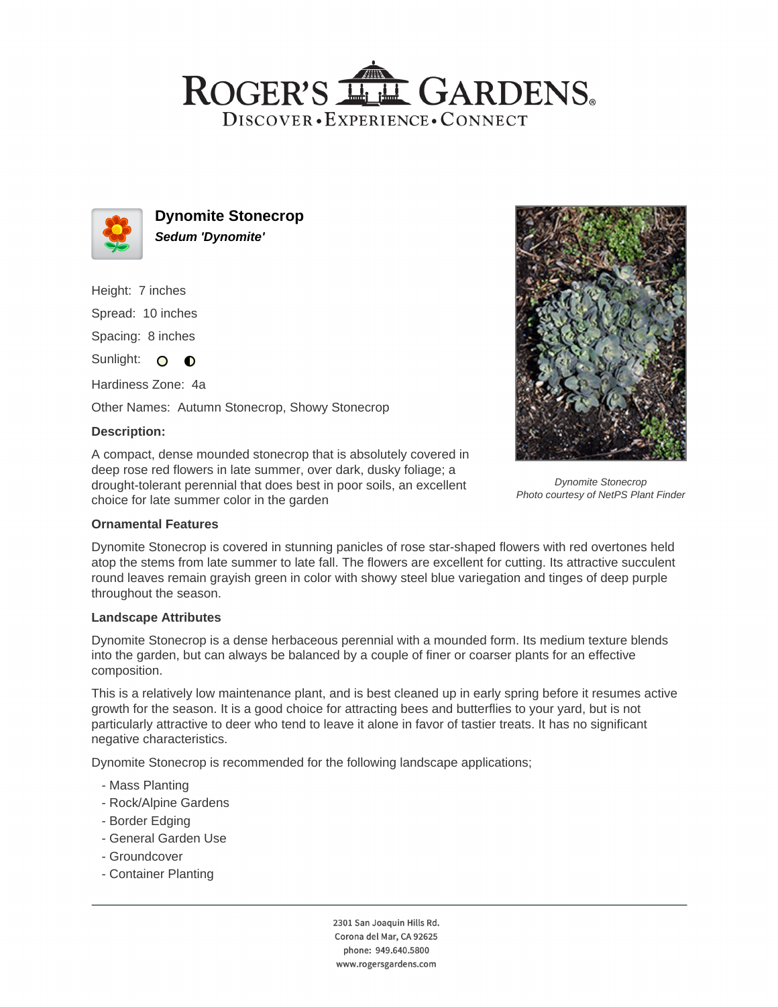## ROGER'S LL GARDENS. DISCOVER · EXPERIENCE · CONNECT



**Dynomite Stonecrop Sedum 'Dynomite'**

Height: 7 inches Spread: 10 inches Spacing: 8 inches

Sunlight: O O

Hardiness Zone: 4a

Other Names: Autumn Stonecrop, Showy Stonecrop

## **Description:**

A compact, dense mounded stonecrop that is absolutely covered in deep rose red flowers in late summer, over dark, dusky foliage; a drought-tolerant perennial that does best in poor soils, an excellent choice for late summer color in the garden



Dynomite Stonecrop Photo courtesy of NetPS Plant Finder

## **Ornamental Features**

Dynomite Stonecrop is covered in stunning panicles of rose star-shaped flowers with red overtones held atop the stems from late summer to late fall. The flowers are excellent for cutting. Its attractive succulent round leaves remain grayish green in color with showy steel blue variegation and tinges of deep purple throughout the season.

#### **Landscape Attributes**

Dynomite Stonecrop is a dense herbaceous perennial with a mounded form. Its medium texture blends into the garden, but can always be balanced by a couple of finer or coarser plants for an effective composition.

This is a relatively low maintenance plant, and is best cleaned up in early spring before it resumes active growth for the season. It is a good choice for attracting bees and butterflies to your yard, but is not particularly attractive to deer who tend to leave it alone in favor of tastier treats. It has no significant negative characteristics.

Dynomite Stonecrop is recommended for the following landscape applications;

- Mass Planting
- Rock/Alpine Gardens
- Border Edging
- General Garden Use
- Groundcover
- Container Planting

2301 San Joaquin Hills Rd. Corona del Mar, CA 92625 phone: 949.640.5800 www.rogersgardens.com